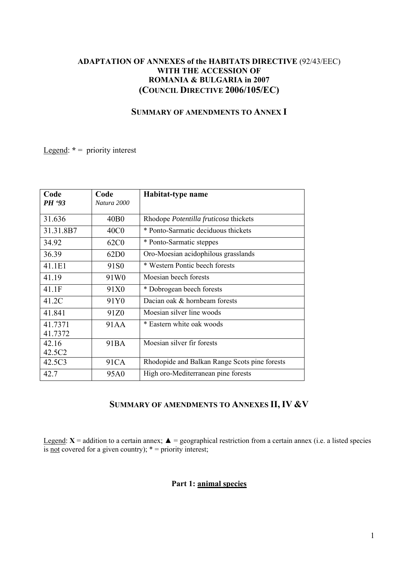### **ADAPTATION OF ANNEXES of the HABITATS DIRECTIVE** (92/43/EEC) **WITH THE ACCESSION OF ROMANIA & BULGARIA in 2007 (COUNCIL DIRECTIVE 2006/105/EC)**

### **SUMMARY OF AMENDMENTS TO ANNEX I**

Legend:  $* =$  priority interest

| Code      | Code              | Habitat-type name                             |  |  |  |  |  |
|-----------|-------------------|-----------------------------------------------|--|--|--|--|--|
| PH '93    | Natura 2000       |                                               |  |  |  |  |  |
| 31.636    | 40 <sub>B</sub> 0 | Rhodope Potentilla fruticosa thickets         |  |  |  |  |  |
| 31.31.8B7 | 40C <sub>0</sub>  | * Ponto-Sarmatic deciduous thickets           |  |  |  |  |  |
| 34.92     | 62C0              | * Ponto-Sarmatic steppes                      |  |  |  |  |  |
| 36.39     | 62D <sub>0</sub>  | Oro-Moesian acidophilous grasslands           |  |  |  |  |  |
| 41.1E1    | 91 <sub>S0</sub>  | * Western Pontic beech forests                |  |  |  |  |  |
| 41.19     | 91W <sub>0</sub>  | Moesian beech forests                         |  |  |  |  |  |
| 41.1F     | 91X <sub>0</sub>  | * Dobrogean beech forests                     |  |  |  |  |  |
| 41.2C     | 91Y <sub>0</sub>  | Dacian oak & hornbeam forests                 |  |  |  |  |  |
| 41.841    | 91Z <sub>0</sub>  | Moesian silver line woods                     |  |  |  |  |  |
| 41.7371   | 91AA              | * Eastern white oak woods                     |  |  |  |  |  |
| 41.7372   |                   |                                               |  |  |  |  |  |
| 42.16     | 91BA              | Moesian silver fir forests                    |  |  |  |  |  |
| 42.5C2    |                   |                                               |  |  |  |  |  |
| 42.5C3    | 91CA              | Rhodopide and Balkan Range Scots pine forests |  |  |  |  |  |
| 42.7      | 95A0              | High oro-Mediterranean pine forests           |  |  |  |  |  |

## **SUMMARY OF AMENDMENTS TO ANNEXES II, IV &V**

Legend:  $X =$  addition to a certain annex;  $\triangle =$  geographical restriction from a certain annex (i.e. a listed species is not covered for a given country);  $* =$  priority interest;

### **Part 1: animal species**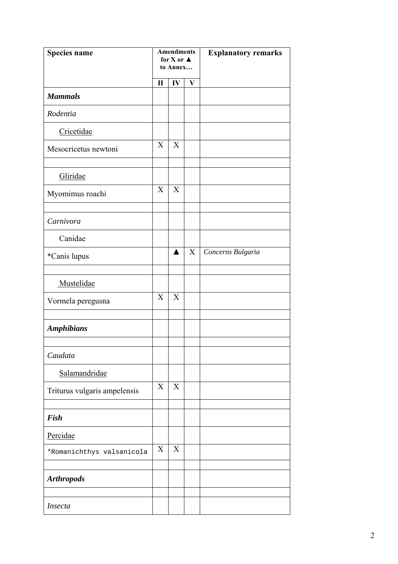| <b>Species name</b>          |              | <b>Amendments</b><br>for X or $\triangle$<br>to Annex |   | <b>Explanatory remarks</b> |
|------------------------------|--------------|-------------------------------------------------------|---|----------------------------|
|                              | $\mathbf{I}$ | $\mathbf{IV}$                                         | V |                            |
| <b>Mammals</b>               |              |                                                       |   |                            |
| Rodentia                     |              |                                                       |   |                            |
| Cricetidae                   |              |                                                       |   |                            |
| Mesocricetus newtoni         |              | X                                                     |   |                            |
| Gliridae                     |              |                                                       |   |                            |
| Myomimus roachi              | X            | X                                                     |   |                            |
| Carnivora                    |              |                                                       |   |                            |
| Canidae                      |              |                                                       |   |                            |
| *Canis lupus                 |              | ▲                                                     | X | Concerns Bulgaria          |
| Mustelidae                   |              |                                                       |   |                            |
| Vormela peregusna            |              | X                                                     |   |                            |
| <b>Amphibians</b>            |              |                                                       |   |                            |
| Caudata                      |              |                                                       |   |                            |
| Salamandridae                |              |                                                       |   |                            |
| Triturus vulgaris ampelensis |              | X                                                     |   |                            |
|                              |              |                                                       |   |                            |
| <b>Fish</b>                  |              |                                                       |   |                            |
| Percidae                     | X            |                                                       |   |                            |
| *Romanichthys valsanicola    |              | X                                                     |   |                            |
| <b>Arthropods</b>            |              |                                                       |   |                            |
|                              |              |                                                       |   |                            |
| Insecta                      |              |                                                       |   |                            |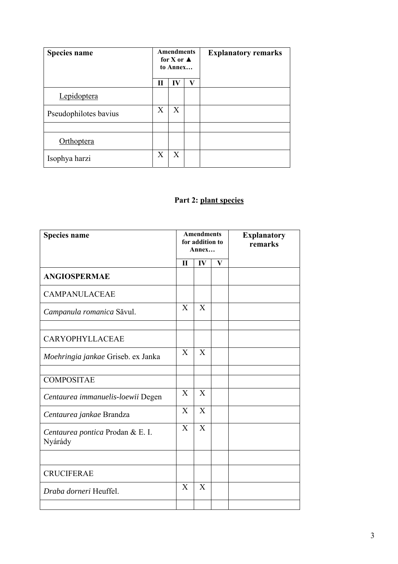| Species name          | <b>Amendments</b><br>for X or $\blacktriangle$<br>to Annex |    |   | <b>Explanatory remarks</b> |  |  |
|-----------------------|------------------------------------------------------------|----|---|----------------------------|--|--|
|                       | Н                                                          | IV | V |                            |  |  |
| Lepidoptera           |                                                            |    |   |                            |  |  |
| Pseudophilotes bavius | X                                                          | X  |   |                            |  |  |
|                       |                                                            |    |   |                            |  |  |
| Orthoptera            |                                                            |    |   |                            |  |  |
| Isophya harzi         | X                                                          | X  |   |                            |  |  |

# Part 2: plant species

| <b>Species name</b>                         | <b>Amendments</b><br>for addition to<br>Annex |              |              | <b>Explanatory</b><br>remarks |
|---------------------------------------------|-----------------------------------------------|--------------|--------------|-------------------------------|
|                                             | $\mathbf{I}$                                  | IV           | $\mathbf{V}$ |                               |
| <b>ANGIOSPERMAE</b>                         |                                               |              |              |                               |
| <b>CAMPANULACEAE</b>                        |                                               |              |              |                               |
| Campanula romanica Săvul.                   | X                                             | X            |              |                               |
| CARYOPHYLLACEAE                             |                                               |              |              |                               |
| Moehringia jankae Griseb. ex Janka          | X                                             | $\mathbf{X}$ |              |                               |
| <b>COMPOSITAE</b>                           |                                               |              |              |                               |
| Centaurea immanuelis-loewii Degen           | X                                             | X            |              |                               |
| Centaurea jankae Brandza                    | X                                             | X            |              |                               |
| Centaurea pontica Prodan & E. I.<br>Nyárády | $\mathbf{X}$                                  | X            |              |                               |
|                                             |                                               |              |              |                               |
| <b>CRUCIFERAE</b>                           |                                               |              |              |                               |
| Draba dorneri Heuffel.                      | $\overline{X}$                                | X            |              |                               |
|                                             |                                               |              |              |                               |